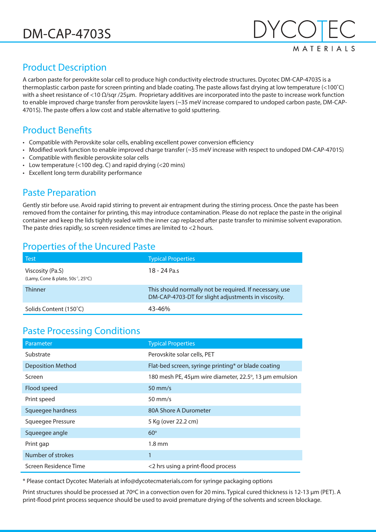

# Product Description

A carbon paste for perovskite solar cell to produce high conductivity electrode structures. Dycotec DM-CAP-4703S is a thermoplastic carbon paste for screen printing and blade coating. The paste allows fast drying at low temperature (<100˚C) with a sheet resistance of <10 Ω/sqr /25μm. Proprietary additives are incorporated into the paste to increase work function to enable improved charge transfer from perovskite layers (~35 meV increase compared to undoped carbon paste, DM-CAP-4701S). The paste offers a low cost and stable alternative to gold sputtering.

### Product Benefits

- Compatible with Perovskite solar cells, enabling excellent power conversion efficiency
- Modified work function to enable improved charge transfer (~35 meV increase with respect to undoped DM-CAP-4701S)
- Compatible with flexible perovskite solar cells
- Low temperature (<100 deg. C) and rapid drying (<20 mins)
- Excellent long term durability performance

### Paste Preparation

Gently stir before use. Avoid rapid stirring to prevent air entrapment during the stirring process. Once the paste has been removed from the container for printing, this may introduce contamination. Please do not replace the paste in the original container and keep the lids tightly sealed with the inner cap replaced after paste transfer to minimise solvent evaporation. The paste dries rapidly, so screen residence times are limited to <2 hours.

### Properties of the Uncured Paste

| <b>Test</b>                                                    | <b>Typical Properties</b>                                                                                      |
|----------------------------------------------------------------|----------------------------------------------------------------------------------------------------------------|
| Viscosity (Pa.S)<br>(Lamy, Cone & plate, $50s^{-1}$ , $25°C$ ) | 18 - 24 Pa.s                                                                                                   |
| <b>Thinner</b>                                                 | This should normally not be required. If necessary, use<br>DM-CAP-4703-DT for slight adjustments in viscosity. |
| Solids Content (150°C)                                         | $43 - 46%$                                                                                                     |

### Paste Processing Conditions

| Parameter             | <b>Typical Properties</b>                              |
|-----------------------|--------------------------------------------------------|
| Substrate             | Perovskite solar cells, PET                            |
| Deposition Method     | Flat-bed screen, syringe printing* or blade coating    |
| Screen                | 180 mesh PE, 45µm wire diameter, 22.5°, 13 µm emulsion |
| Flood speed           | $50 \text{ mm/s}$                                      |
| Print speed           | $50 \text{ mm/s}$                                      |
| Squeegee hardness     | 80A Shore A Durometer                                  |
| Squeegee Pressure     | 5 Kg (over 22.2 cm)                                    |
| Squeegee angle        | $60^\circ$                                             |
| Print gap             | $1.8 \text{ mm}$                                       |
| Number of strokes     | 1                                                      |
| Screen Residence Time | <2 hrs using a print-flood process                     |

\* Please contact Dycotec Materials at info@dycotecmaterials.com for syringe packaging options

Print structures should be processed at 70℃ in a convection oven for 20 mins. Typical cured thickness is 12-13 µm (PET). A print-flood print process sequence should be used to avoid premature drying of the solvents and screen blockage.